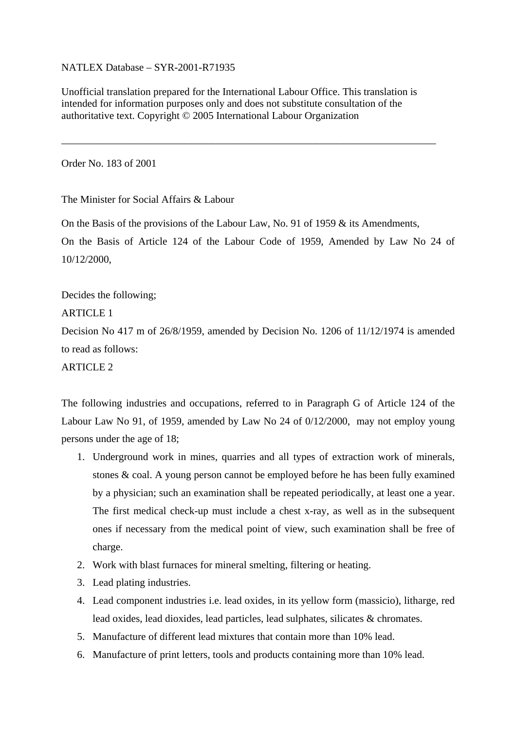NATLEX Database – SYR-2001-R71935

Unofficial translation prepared for the International Labour Office. This translation is intended for information purposes only and does not substitute consultation of the authoritative text. Copyright © 2005 International Labour Organization

\_\_\_\_\_\_\_\_\_\_\_\_\_\_\_\_\_\_\_\_\_\_\_\_\_\_\_\_\_\_\_\_\_\_\_\_\_\_\_\_\_\_\_\_\_\_\_\_\_\_\_\_\_\_\_\_\_\_\_\_\_\_\_\_\_\_\_\_\_\_\_\_

Order No. 183 of 2001

The Minister for Social Affairs & Labour

On the Basis of the provisions of the Labour Law, No. 91 of 1959  $\&$  its Amendments, On the Basis of Article 124 of the Labour Code of 1959, Amended by Law No 24 of 10/12/2000,

Decides the following;

ARTICLE 1

Decision No 417 m of 26/8/1959, amended by Decision No. 1206 of 11/12/1974 is amended to read as follows:

ARTICLE 2

The following industries and occupations, referred to in Paragraph G of Article 124 of the Labour Law No 91, of 1959, amended by Law No 24 of 0/12/2000, may not employ young persons under the age of 18;

- 1. Underground work in mines, quarries and all types of extraction work of minerals, stones & coal. A young person cannot be employed before he has been fully examined by a physician; such an examination shall be repeated periodically, at least one a year. The first medical check-up must include a chest x-ray, as well as in the subsequent ones if necessary from the medical point of view, such examination shall be free of charge.
- 2. Work with blast furnaces for mineral smelting, filtering or heating.
- 3. Lead plating industries.
- 4. Lead component industries i.e. lead oxides, in its yellow form (massicio), litharge, red lead oxides, lead dioxides, lead particles, lead sulphates, silicates & chromates.
- 5. Manufacture of different lead mixtures that contain more than 10% lead.
- 6. Manufacture of print letters, tools and products containing more than 10% lead.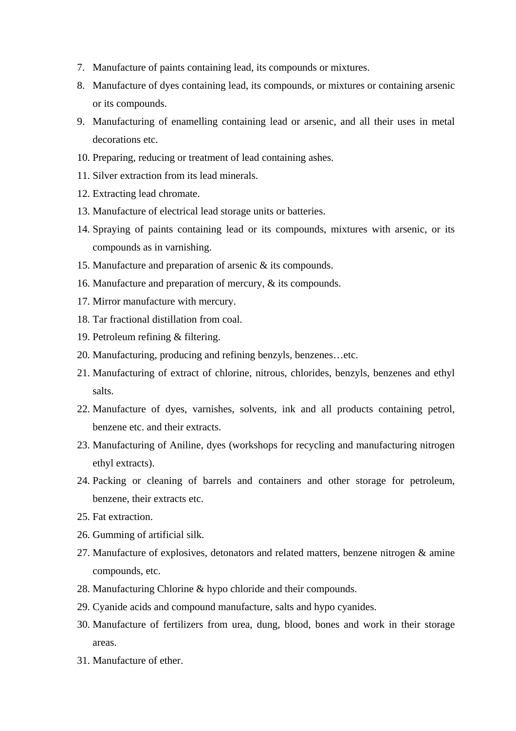- 7. Manufacture of paints containing lead, its compounds or mixtures.
- 8. Manufacture of dyes containing lead, its compounds, or mixtures or containing arsenic or its compounds.
- 9. Manufacturing of enamelling containing lead or arsenic, and all their uses in metal decorations etc.
- 10. Preparing, reducing or treatment of lead containing ashes.
- 11. Silver extraction from its lead minerals.
- 12. Extracting lead chromate.
- 13. Manufacture of electrical lead storage units or batteries.
- 14. Spraying of paints containing lead or its compounds, mixtures with arsenic, or its compounds as in varnishing.
- 15. Manufacture and preparation of arsenic & its compounds.
- 16. Manufacture and preparation of mercury, & its compounds.
- 17. Mirror manufacture with mercury.
- 18. Tar fractional distillation from coal.
- 19. Petroleum refining & filtering.
- 20. Manufacturing, producing and refining benzyls, benzenes…etc.
- 21. Manufacturing of extract of chlorine, nitrous, chlorides, benzyls, benzenes and ethyl salts.
- 22. Manufacture of dyes, varnishes, solvents, ink and all products containing petrol, benzene etc. and their extracts.
- 23. Manufacturing of Aniline, dyes (workshops for recycling and manufacturing nitrogen ethyl extracts).
- 24. Packing or cleaning of barrels and containers and other storage for petroleum, benzene, their extracts etc.
- 25. Fat extraction.
- 26. Gumming of artificial silk.
- 27. Manufacture of explosives, detonators and related matters, benzene nitrogen & amine compounds, etc.
- 28. Manufacturing Chlorine & hypo chloride and their compounds.
- 29. Cyanide acids and compound manufacture, salts and hypo cyanides.
- 30. Manufacture of fertilizers from urea, dung, blood, bones and work in their storage areas.
- 31. Manufacture of ether.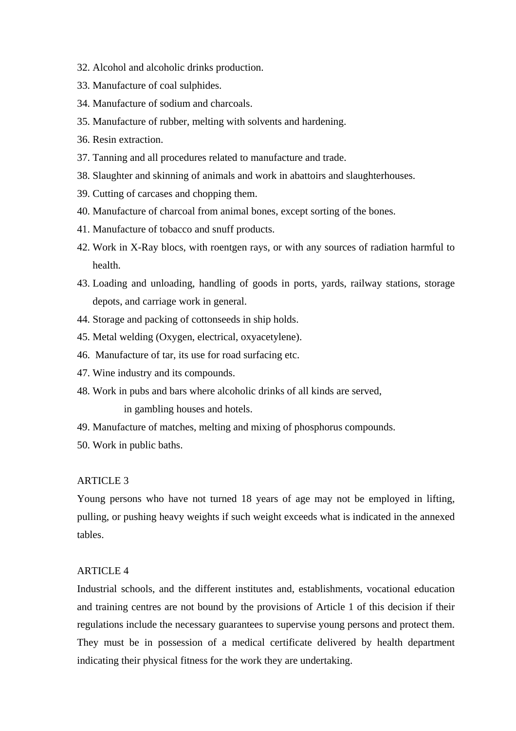- 32. Alcohol and alcoholic drinks production.
- 33. Manufacture of coal sulphides.
- 34. Manufacture of sodium and charcoals.
- 35. Manufacture of rubber, melting with solvents and hardening.
- 36. Resin extraction.
- 37. Tanning and all procedures related to manufacture and trade.
- 38. Slaughter and skinning of animals and work in abattoirs and slaughterhouses.
- 39. Cutting of carcases and chopping them.
- 40. Manufacture of charcoal from animal bones, except sorting of the bones.
- 41. Manufacture of tobacco and snuff products.
- 42. Work in X-Ray blocs, with roentgen rays, or with any sources of radiation harmful to health.
- 43. Loading and unloading, handling of goods in ports, yards, railway stations, storage depots, and carriage work in general.
- 44. Storage and packing of cottonseeds in ship holds.
- 45. Metal welding (Oxygen, electrical, oxyacetylene).
- 46. Manufacture of tar, its use for road surfacing etc.
- 47. Wine industry and its compounds.
- 48. Work in pubs and bars where alcoholic drinks of all kinds are served,

in gambling houses and hotels.

- 49. Manufacture of matches, melting and mixing of phosphorus compounds.
- 50. Work in public baths.

## **ARTICLE 3**

Young persons who have not turned 18 years of age may not be employed in lifting, pulling, or pushing heavy weights if such weight exceeds what is indicated in the annexed tables.

## ARTICLE 4

Industrial schools, and the different institutes and, establishments, vocational education and training centres are not bound by the provisions of Article 1 of this decision if their regulations include the necessary guarantees to supervise young persons and protect them. They must be in possession of a medical certificate delivered by health department indicating their physical fitness for the work they are undertaking.